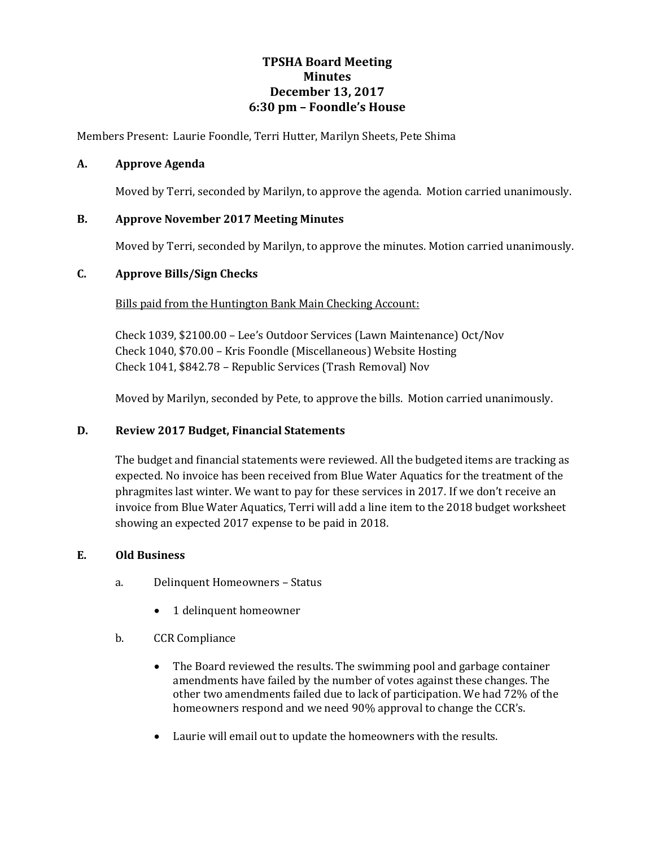# **TPSHA Board Meeting Minutes December 13, 2017 6:30 pm – Foondle's House**

Members Present: Laurie Foondle, Terri Hutter, Marilyn Sheets, Pete Shima

### **A. Approve Agenda**

Moved by Terri, seconded by Marilyn, to approve the agenda. Motion carried unanimously.

### **B. Approve November 2017 Meeting Minutes**

Moved by Terri, seconded by Marilyn, to approve the minutes. Motion carried unanimously.

#### **C. Approve Bills/Sign Checks**

Bills paid from the Huntington Bank Main Checking Account:

Check 1039, \$2100.00 – Lee's Outdoor Services (Lawn Maintenance) Oct/Nov Check 1040, \$70.00 – Kris Foondle (Miscellaneous) Website Hosting Check 1041, \$842.78 – Republic Services (Trash Removal) Nov

Moved by Marilyn, seconded by Pete, to approve the bills. Motion carried unanimously.

#### **D. Review 2017 Budget, Financial Statements**

The budget and financial statements were reviewed. All the budgeted items are tracking as expected. No invoice has been received from Blue Water Aquatics for the treatment of the phragmites last winter. We want to pay for these services in 2017. If we don't receive an invoice from Blue Water Aquatics, Terri will add a line item to the 2018 budget worksheet showing an expected 2017 expense to be paid in 2018.

#### **E. Old Business**

- a. Delinquent Homeowners Status
	- 1 delinquent homeowner
- b. CCR Compliance
	- The Board reviewed the results. The swimming pool and garbage container amendments have failed by the number of votes against these changes. The other two amendments failed due to lack of participation. We had 72% of the homeowners respond and we need 90% approval to change the CCR's.
	- Laurie will email out to update the homeowners with the results.